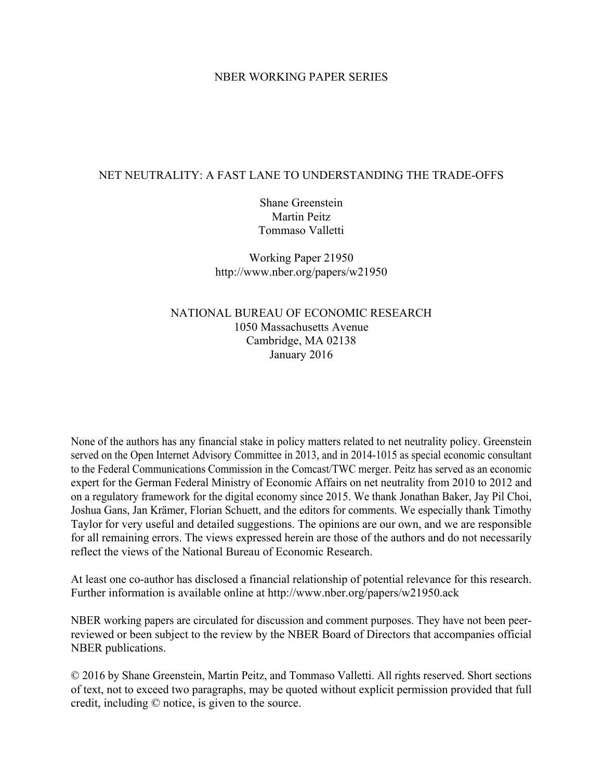# NBER WORKING PAPER SERIES

# NET NEUTRALITY: A FAST LANE TO UNDERSTANDING THE TRADE-OFFS

Shane Greenstein Martin Peitz Tommaso Valletti

Working Paper 21950 http://www.nber.org/papers/w21950

# NATIONAL BUREAU OF ECONOMIC RESEARCH 1050 Massachusetts Avenue Cambridge, MA 02138 January 2016

None of the authors has any financial stake in policy matters related to net neutrality policy. Greenstein served on the Open Internet Advisory Committee in 2013, and in 2014-1015 as special economic consultant to the Federal Communications Commission in the Comcast/TWC merger. Peitz has served as an economic expert for the German Federal Ministry of Economic Affairs on net neutrality from 2010 to 2012 and on a regulatory framework for the digital economy since 2015. We thank Jonathan Baker, Jay Pil Choi, Joshua Gans, Jan Krämer, Florian Schuett, and the editors for comments. We especially thank Timothy Taylor for very useful and detailed suggestions. The opinions are our own, and we are responsible for all remaining errors. The views expressed herein are those of the authors and do not necessarily reflect the views of the National Bureau of Economic Research.

At least one co-author has disclosed a financial relationship of potential relevance for this research. Further information is available online at http://www.nber.org/papers/w21950.ack

NBER working papers are circulated for discussion and comment purposes. They have not been peerreviewed or been subject to the review by the NBER Board of Directors that accompanies official NBER publications.

© 2016 by Shane Greenstein, Martin Peitz, and Tommaso Valletti. All rights reserved. Short sections of text, not to exceed two paragraphs, may be quoted without explicit permission provided that full credit, including © notice, is given to the source.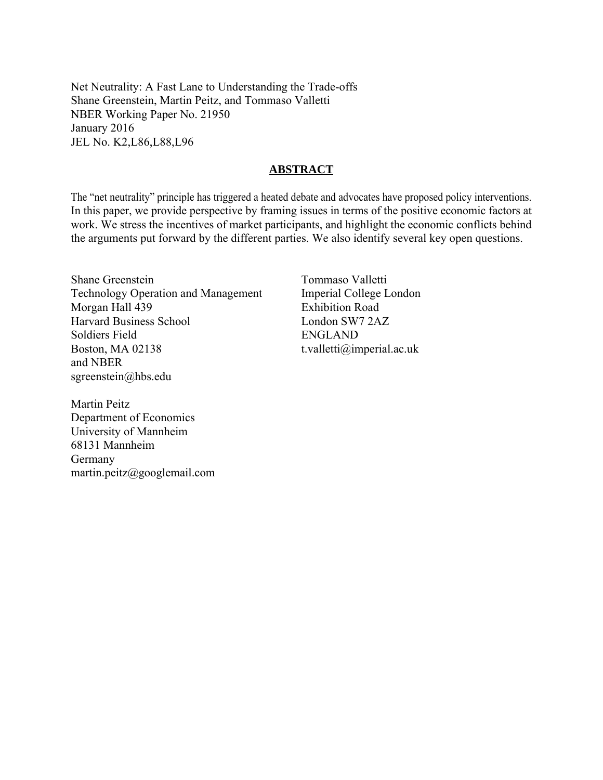Net Neutrality: A Fast Lane to Understanding the Trade-offs Shane Greenstein, Martin Peitz, and Tommaso Valletti NBER Working Paper No. 21950 January 2016 JEL No. K2,L86,L88,L96

# **ABSTRACT**

The "net neutrality" principle has triggered a heated debate and advocates have proposed policy interventions. In this paper, we provide perspective by framing issues in terms of the positive economic factors at work. We stress the incentives of market participants, and highlight the economic conflicts behind the arguments put forward by the different parties. We also identify several key open questions.

Shane Greenstein Technology Operation and Management Morgan Hall 439 Harvard Business School Soldiers Field Boston, MA 02138 and NBER sgreenstein@hbs.edu

Tommaso Valletti Imperial College London Exhibition Road London SW7 2AZ ENGLAND t.valletti@imperial.ac.uk

Martin Peitz Department of Economics University of Mannheim 68131 Mannheim Germany martin.peitz@googlemail.com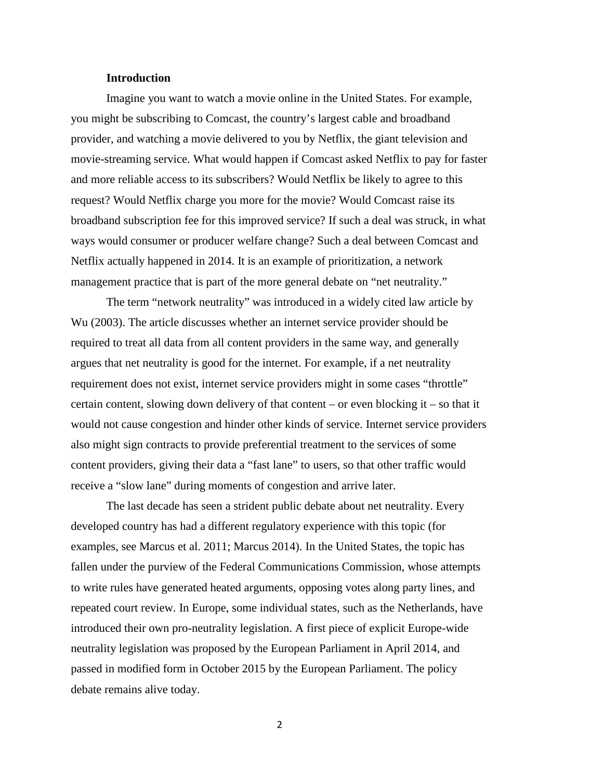## **Introduction**

Imagine you want to watch a movie online in the United States. For example, you might be subscribing to Comcast, the country's largest cable and broadband provider, and watching a movie delivered to you by Netflix, the giant television and movie-streaming service. What would happen if Comcast asked Netflix to pay for faster and more reliable access to its subscribers? Would Netflix be likely to agree to this request? Would Netflix charge you more for the movie? Would Comcast raise its broadband subscription fee for this improved service? If such a deal was struck, in what ways would consumer or producer welfare change? Such a deal between Comcast and Netflix actually happened in 2014. It is an example of prioritization, a network management practice that is part of the more general debate on "net neutrality."

The term "network neutrality" was introduced in a widely cited law article by Wu (2003). The article discusses whether an internet service provider should be required to treat all data from all content providers in the same way, and generally argues that net neutrality is good for the internet. For example, if a net neutrality requirement does not exist, internet service providers might in some cases "throttle" certain content, slowing down delivery of that content – or even blocking it – so that it would not cause congestion and hinder other kinds of service. Internet service providers also might sign contracts to provide preferential treatment to the services of some content providers, giving their data a "fast lane" to users, so that other traffic would receive a "slow lane" during moments of congestion and arrive later.

The last decade has seen a strident public debate about net neutrality. Every developed country has had a different regulatory experience with this topic (for examples, see Marcus et al. 2011; Marcus 2014). In the United States, the topic has fallen under the purview of the Federal Communications Commission, whose attempts to write rules have generated heated arguments, opposing votes along party lines, and repeated court review. In Europe, some individual states, such as the Netherlands, have introduced their own pro-neutrality legislation. A first piece of explicit Europe-wide neutrality legislation was proposed by the European Parliament in April 2014, and passed in modified form in October 2015 by the European Parliament. The policy debate remains alive today.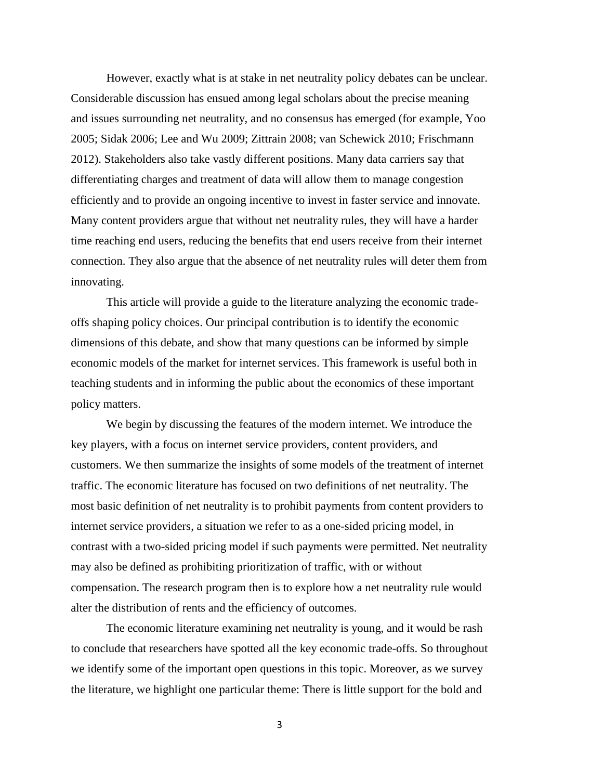However, exactly what is at stake in net neutrality policy debates can be unclear. Considerable discussion has ensued among legal scholars about the precise meaning and issues surrounding net neutrality, and no consensus has emerged (for example, Yoo 2005; Sidak 2006; Lee and Wu 2009; Zittrain 2008; van Schewick 2010; Frischmann 2012). Stakeholders also take vastly different positions. Many data carriers say that differentiating charges and treatment of data will allow them to manage congestion efficiently and to provide an ongoing incentive to invest in faster service and innovate. Many content providers argue that without net neutrality rules, they will have a harder time reaching end users, reducing the benefits that end users receive from their internet connection. They also argue that the absence of net neutrality rules will deter them from innovating.

This article will provide a guide to the literature analyzing the economic tradeoffs shaping policy choices. Our principal contribution is to identify the economic dimensions of this debate, and show that many questions can be informed by simple economic models of the market for internet services. This framework is useful both in teaching students and in informing the public about the economics of these important policy matters.

We begin by discussing the features of the modern internet. We introduce the key players, with a focus on internet service providers, content providers, and customers. We then summarize the insights of some models of the treatment of internet traffic. The economic literature has focused on two definitions of net neutrality. The most basic definition of net neutrality is to prohibit payments from content providers to internet service providers, a situation we refer to as a one-sided pricing model, in contrast with a two-sided pricing model if such payments were permitted. Net neutrality may also be defined as prohibiting prioritization of traffic, with or without compensation. The research program then is to explore how a net neutrality rule would alter the distribution of rents and the efficiency of outcomes.

The economic literature examining net neutrality is young, and it would be rash to conclude that researchers have spotted all the key economic trade-offs. So throughout we identify some of the important open questions in this topic. Moreover, as we survey the literature, we highlight one particular theme: There is little support for the bold and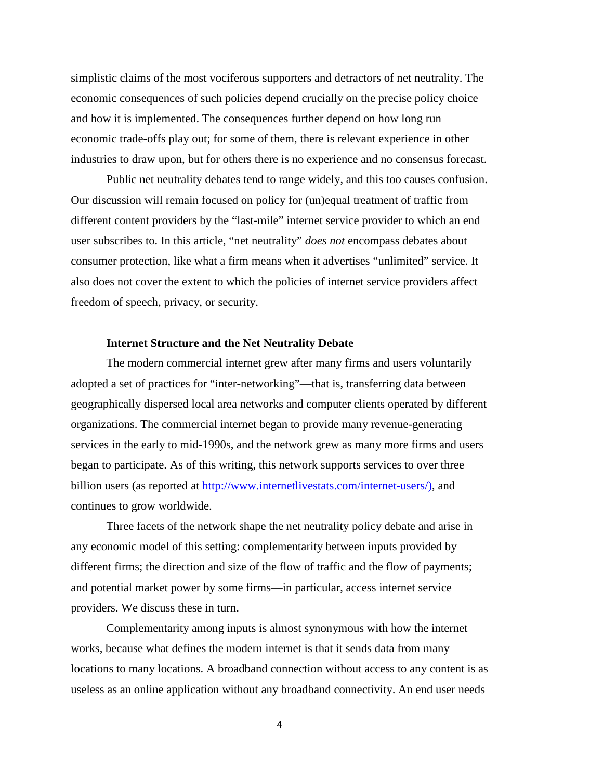simplistic claims of the most vociferous supporters and detractors of net neutrality. The economic consequences of such policies depend crucially on the precise policy choice and how it is implemented. The consequences further depend on how long run economic trade-offs play out; for some of them, there is relevant experience in other industries to draw upon, but for others there is no experience and no consensus forecast.

Public net neutrality debates tend to range widely, and this too causes confusion. Our discussion will remain focused on policy for (un)equal treatment of traffic from different content providers by the "last-mile" internet service provider to which an end user subscribes to. In this article, "net neutrality" *does not* encompass debates about consumer protection, like what a firm means when it advertises "unlimited" service. It also does not cover the extent to which the policies of internet service providers affect freedom of speech, privacy, or security.

#### **Internet Structure and the Net Neutrality Debate**

The modern commercial internet grew after many firms and users voluntarily adopted a set of practices for "inter-networking"—that is, transferring data between geographically dispersed local area networks and computer clients operated by different organizations. The commercial internet began to provide many revenue-generating services in the early to mid-1990s, and the network grew as many more firms and users began to participate. As of this writing, this network supports services to over three billion users (as reported at [http://www.internetlivestats.com/internet-users/\)](http://www.internetlivestats.com/internet-users/), and continues to grow worldwide.

Three facets of the network shape the net neutrality policy debate and arise in any economic model of this setting: complementarity between inputs provided by different firms; the direction and size of the flow of traffic and the flow of payments; and potential market power by some firms—in particular, access internet service providers. We discuss these in turn.

Complementarity among inputs is almost synonymous with how the internet works, because what defines the modern internet is that it sends data from many locations to many locations. A broadband connection without access to any content is as useless as an online application without any broadband connectivity. An end user needs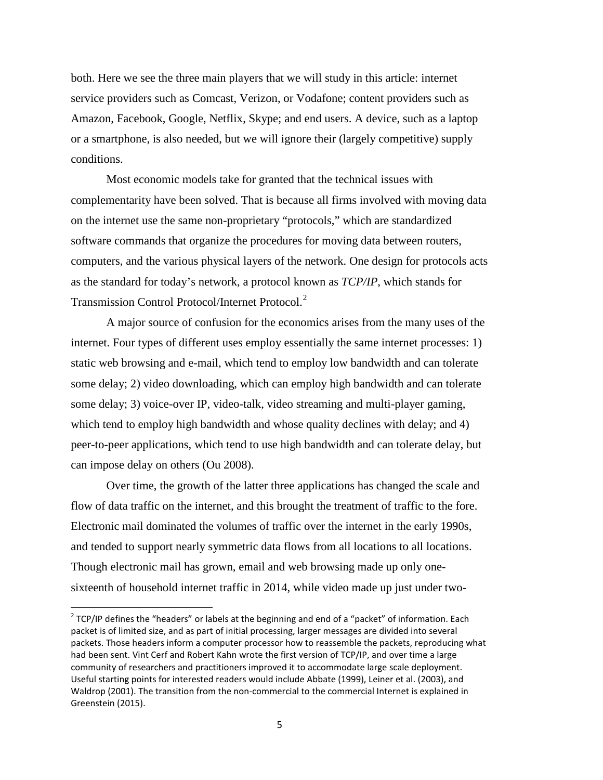both. Here we see the three main players that we will study in this article: internet service providers such as Comcast, Verizon, or Vodafone; content providers such as Amazon, Facebook, Google, Netflix, Skype; and end users. A device, such as a laptop or a smartphone, is also needed, but we will ignore their (largely competitive) supply conditions.

Most economic models take for granted that the technical issues with complementarity have been solved. That is because all firms involved with moving data on the internet use the same non-proprietary "protocols," which are standardized software commands that organize the procedures for moving data between routers, computers, and the various physical layers of the network. One design for protocols acts as the standard for today's network, a protocol known as *TCP/IP*, which stands for Transmission Control Protocol/Internet Protocol.<sup>[2](#page-5-0)</sup>

A major source of confusion for the economics arises from the many uses of the internet. Four types of different uses employ essentially the same internet processes: 1) static web browsing and e-mail, which tend to employ low bandwidth and can tolerate some delay; 2) video downloading, which can employ high bandwidth and can tolerate some delay; 3) voice-over IP, video-talk, video streaming and multi-player gaming, which tend to employ high bandwidth and whose quality declines with delay; and 4) peer-to-peer applications, which tend to use high bandwidth and can tolerate delay, but can impose delay on others (Ou 2008).

Over time, the growth of the latter three applications has changed the scale and flow of data traffic on the internet, and this brought the treatment of traffic to the fore. Electronic mail dominated the volumes of traffic over the internet in the early 1990s, and tended to support nearly symmetric data flows from all locations to all locations. Though electronic mail has grown, email and web browsing made up only onesixteenth of household internet traffic in 2014, while video made up just under two-

<span id="page-5-0"></span> $2$  TCP/IP defines the "headers" or labels at the beginning and end of a "packet" of information. Each packet is of limited size, and as part of initial processing, larger messages are divided into several packets. Those headers inform a computer processor how to reassemble the packets, reproducing what had been sent. Vint Cerf and Robert Kahn wrote the first version of TCP/IP, and over time a large community of researchers and practitioners improved it to accommodate large scale deployment. Useful starting points for interested readers would include Abbate (1999), Leiner et al. (2003), and Waldrop (2001). The transition from the non-commercial to the commercial Internet is explained in Greenstein (2015).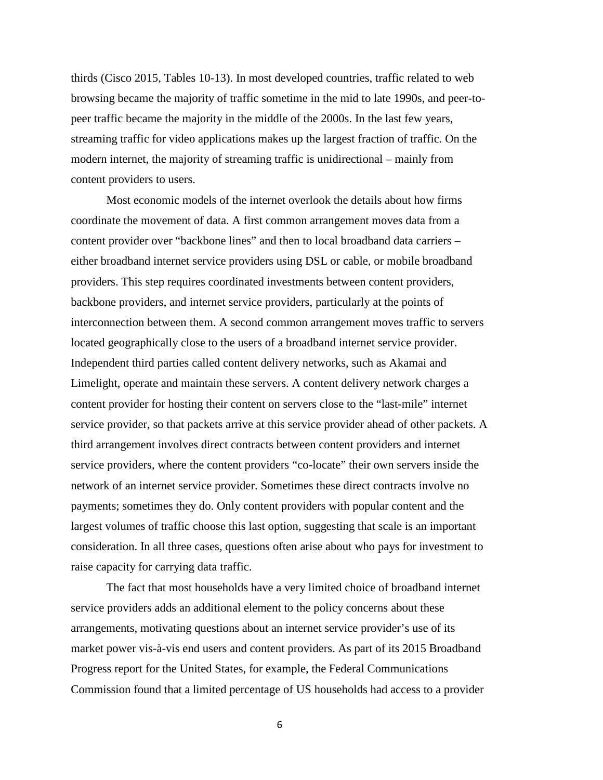thirds (Cisco 2015, Tables 10-13). In most developed countries, traffic related to web browsing became the majority of traffic sometime in the mid to late 1990s, and peer-topeer traffic became the majority in the middle of the 2000s. In the last few years, streaming traffic for video applications makes up the largest fraction of traffic. On the modern internet, the majority of streaming traffic is unidirectional – mainly from content providers to users.

Most economic models of the internet overlook the details about how firms coordinate the movement of data. A first common arrangement moves data from a content provider over "backbone lines" and then to local broadband data carriers – either broadband internet service providers using DSL or cable, or mobile broadband providers. This step requires coordinated investments between content providers, backbone providers, and internet service providers, particularly at the points of interconnection between them. A second common arrangement moves traffic to servers located geographically close to the users of a broadband internet service provider. Independent third parties called content delivery networks, such as Akamai and Limelight, operate and maintain these servers. A content delivery network charges a content provider for hosting their content on servers close to the "last-mile" internet service provider, so that packets arrive at this service provider ahead of other packets. A third arrangement involves direct contracts between content providers and internet service providers, where the content providers "co-locate" their own servers inside the network of an internet service provider. Sometimes these direct contracts involve no payments; sometimes they do. Only content providers with popular content and the largest volumes of traffic choose this last option, suggesting that scale is an important consideration. In all three cases, questions often arise about who pays for investment to raise capacity for carrying data traffic.

The fact that most households have a very limited choice of broadband internet service providers adds an additional element to the policy concerns about these arrangements, motivating questions about an internet service provider's use of its market power vis-à-vis end users and content providers. As part of its 2015 Broadband Progress report for the United States, for example, the Federal Communications Commission found that a limited percentage of US households had access to a provider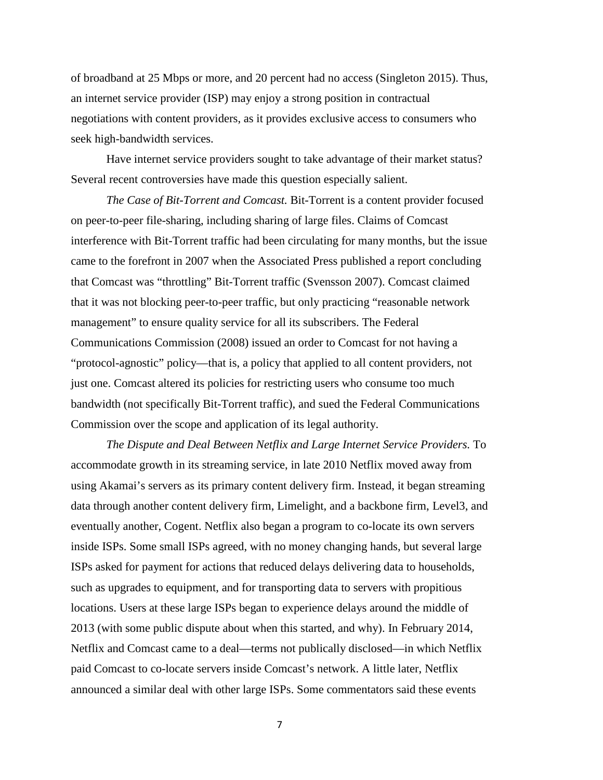of broadband at 25 Mbps or more, and 20 percent had no access (Singleton 2015). Thus, an internet service provider (ISP) may enjoy a strong position in contractual negotiations with content providers, as it provides exclusive access to consumers who seek high-bandwidth services.

Have internet service providers sought to take advantage of their market status? Several recent controversies have made this question especially salient.

*The Case of Bit-Torrent and Comcast.* Bit-Torrent is a content provider focused on peer-to-peer file-sharing, including sharing of large files. Claims of Comcast interference with Bit-Torrent traffic had been circulating for many months, but the issue came to the forefront in 2007 when the Associated Press published a report concluding that Comcast was "throttling" Bit-Torrent traffic (Svensson 2007). Comcast claimed that it was not blocking peer-to-peer traffic, but only practicing "reasonable network management" to ensure quality service for all its subscribers. The Federal Communications Commission (2008) issued an order to Comcast for not having a "protocol-agnostic" policy—that is, a policy that applied to all content providers, not just one. Comcast altered its policies for restricting users who consume too much bandwidth (not specifically Bit-Torrent traffic), and sued the Federal Communications Commission over the scope and application of its legal authority.

*The Dispute and Deal Between Netflix and Large Internet Service Providers.* To accommodate growth in its streaming service, in late 2010 Netflix moved away from using Akamai's servers as its primary content delivery firm. Instead, it began streaming data through another content delivery firm, Limelight, and a backbone firm, Level3, and eventually another, Cogent. Netflix also began a program to co-locate its own servers inside ISPs. Some small ISPs agreed, with no money changing hands, but several large ISPs asked for payment for actions that reduced delays delivering data to households, such as upgrades to equipment, and for transporting data to servers with propitious locations. Users at these large ISPs began to experience delays around the middle of 2013 (with some public dispute about when this started, and why). In February 2014, Netflix and Comcast came to a deal—terms not publically disclosed—in which Netflix paid Comcast to co-locate servers inside Comcast's network. A little later, Netflix announced a similar deal with other large ISPs. Some commentators said these events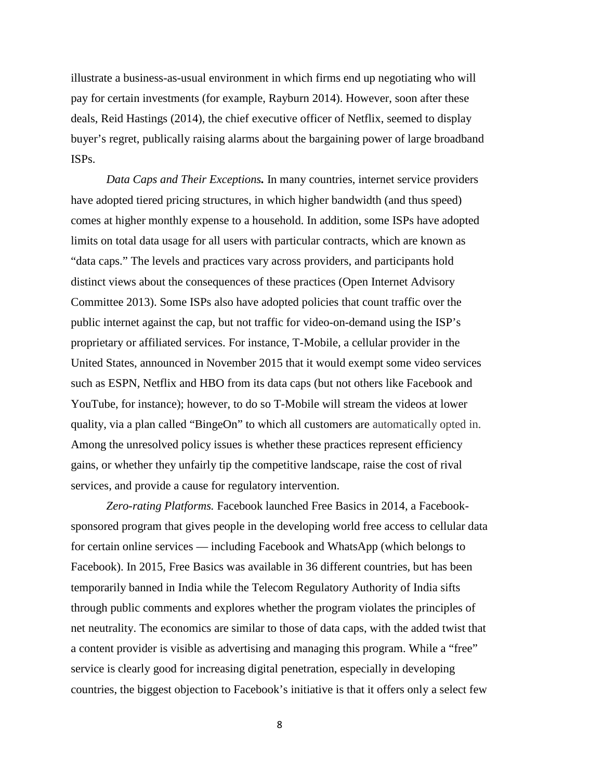illustrate a business-as-usual environment in which firms end up negotiating who will pay for certain investments (for example, Rayburn 2014). However, soon after these deals, Reid Hastings (2014), the chief executive officer of Netflix, seemed to display buyer's regret, publically raising alarms about the bargaining power of large broadband ISPs.

*Data Caps and Their Exceptions.* In many countries, internet service providers have adopted tiered pricing structures, in which higher bandwidth (and thus speed) comes at higher monthly expense to a household. In addition, some ISPs have adopted limits on total data usage for all users with particular contracts, which are known as "data caps." The levels and practices vary across providers, and participants hold distinct views about the consequences of these practices (Open Internet Advisory Committee 2013). Some ISPs also have adopted policies that count traffic over the public internet against the cap, but not traffic for video-on-demand using the ISP's proprietary or affiliated services. For instance, T-Mobile, a cellular provider in the United States, announced in November 2015 that it would exempt some video services such as ESPN, Netflix and HBO from its data caps (but not others like Facebook and YouTube, for instance); however, to do so T-Mobile will stream the videos at lower quality, via a plan called "BingeOn" to which all customers are automatically opted in. Among the unresolved policy issues is whether these practices represent efficiency gains, or whether they unfairly tip the competitive landscape, raise the cost of rival services, and provide a cause for regulatory intervention.

*Zero-rating Platforms.* Facebook launched Free Basics in 2014, a Facebooksponsored program that gives people in the developing world free access to cellular data for certain online services — including Facebook and WhatsApp (which belongs to Facebook). In 2015, Free Basics was available in 36 different countries, but has been [temporarily banned in India](http://www.buzzfeed.com/sahilrizwan/indias-telecom-authorities-just-called-mark-zuckerbergs-bluf#.huzwZ1N4g3) while the Telecom Regulatory Authority of India sifts through public comments and explores whether the program violates the principles of net neutrality. The economics are similar to those of data caps, with the added twist that a content provider is visible as advertising and managing this program. While a "free" service is clearly good for increasing digital penetration, especially in developing countries, the biggest objection to Facebook's initiative is that it offers only a select few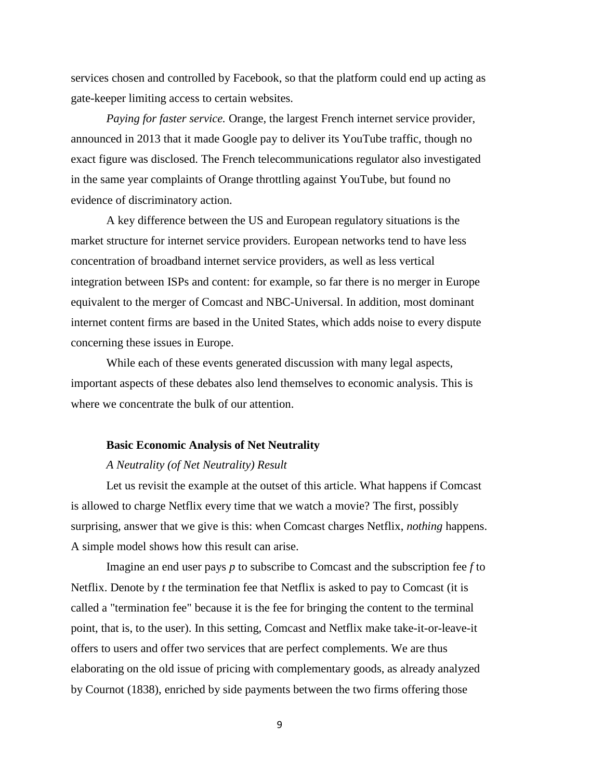services chosen and controlled by Facebook, so that the platform could end up acting as gate-keeper limiting access to certain websites.

*Paying for faster service.* Orange, the largest French internet service provider, announced in 2013 that it made Google pay to deliver its YouTube traffic, though no exact figure was disclosed. The French telecommunications regulator also investigated in the same year complaints of Orange throttling against YouTube, but found no evidence of discriminatory action.

A key difference between the US and European regulatory situations is the market structure for internet service providers. European networks tend to have less concentration of broadband internet service providers, as well as less vertical integration between ISPs and content: for example, so far there is no merger in Europe equivalent to the merger of Comcast and NBC-Universal. In addition, most dominant internet content firms are based in the United States, which adds noise to every dispute concerning these issues in Europe.

While each of these events generated discussion with many legal aspects, important aspects of these debates also lend themselves to economic analysis. This is where we concentrate the bulk of our attention.

#### **Basic Economic Analysis of Net Neutrality**

#### *A Neutrality (of Net Neutrality) Result*

Let us revisit the example at the outset of this article. What happens if Comcast is allowed to charge Netflix every time that we watch a movie? The first, possibly surprising, answer that we give is this: when Comcast charges Netflix, *nothing* happens. A simple model shows how this result can arise.

Imagine an end user pays *p* to subscribe to Comcast and the subscription fee *f* to Netflix. Denote by *t* the termination fee that Netflix is asked to pay to Comcast (it is called a "termination fee" because it is the fee for bringing the content to the terminal point, that is, to the user). In this setting, Comcast and Netflix make take-it-or-leave-it offers to users and offer two services that are perfect complements. We are thus elaborating on the old issue of pricing with complementary goods, as already analyzed by Cournot (1838), enriched by side payments between the two firms offering those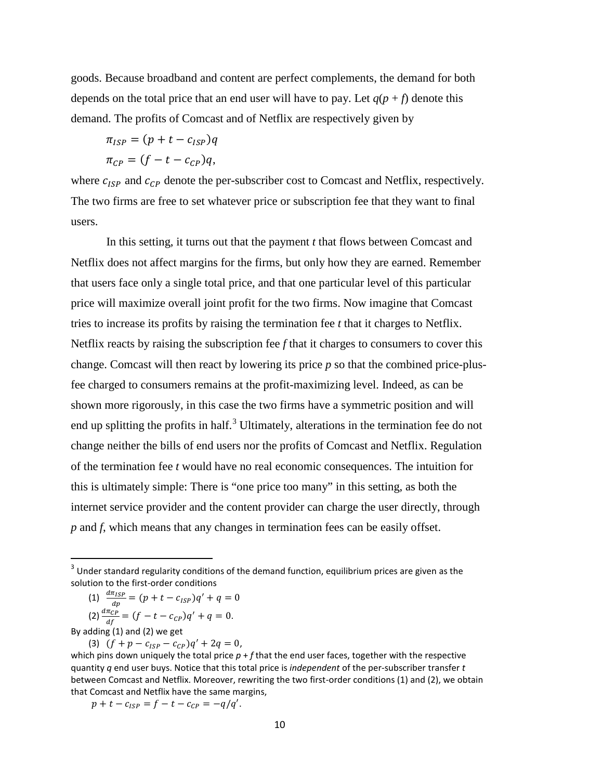goods. Because broadband and content are perfect complements, the demand for both depends on the total price that an end user will have to pay. Let  $q(p + f)$  denote this demand. The profits of Comcast and of Netflix are respectively given by

$$
\pi_{ISP} = (p + t - c_{ISP})q
$$
  

$$
\pi_{CP} = (f - t - c_{CP})q,
$$

where  $c_{ISP}$  and  $c_{CP}$  denote the per-subscriber cost to Comcast and Netflix, respectively. The two firms are free to set whatever price or subscription fee that they want to final users.

In this setting, it turns out that the payment *t* that flows between Comcast and Netflix does not affect margins for the firms, but only how they are earned. Remember that users face only a single total price, and that one particular level of this particular price will maximize overall joint profit for the two firms. Now imagine that Comcast tries to increase its profits by raising the termination fee *t* that it charges to Netflix. Netflix reacts by raising the subscription fee *f* that it charges to consumers to cover this change. Comcast will then react by lowering its price *p* so that the combined price-plusfee charged to consumers remains at the profit-maximizing level. Indeed, as can be shown more rigorously, in this case the two firms have a symmetric position and will end up splitting the profits in half.<sup>[3](#page-10-0)</sup> Ultimately, alterations in the termination fee do not change neither the bills of end users nor the profits of Comcast and Netflix. Regulation of the termination fee *t* would have no real economic consequences. The intuition for this is ultimately simple: There is "one price too many" in this setting, as both the internet service provider and the content provider can charge the user directly, through *p* and *f*, which means that any changes in termination fees can be easily offset.

(1) 
$$
\frac{d\pi_{ISP}}{dp} = (p + t - c_{ISP})q' + q = 0
$$

(2) 
$$
\frac{a\pi_{CP}}{df} = (f - t - c_{CP})q' + q = 0.
$$

By adding (1) and (2) we get

(3)  $(f + p - c_{ISP} - c_{CP})q' + 2q = 0$ , which pins down uniquely the total price *p* + *f* that the end user faces, together with the respective quantity *q* end user buys. Notice that this total price is *independent* of the per-subscriber transfer *t* between Comcast and Netflix. Moreover, rewriting the two first-order conditions (1) and (2), we obtain that Comcast and Netflix have the same margins,

 $p + t - c_{ISP} = f - t - c_{CP} = -q/q'.$ 

<span id="page-10-0"></span><sup>&</sup>lt;sup>3</sup> Under standard regularity conditions of the demand function, equilibrium prices are given as the solution to the first-order conditions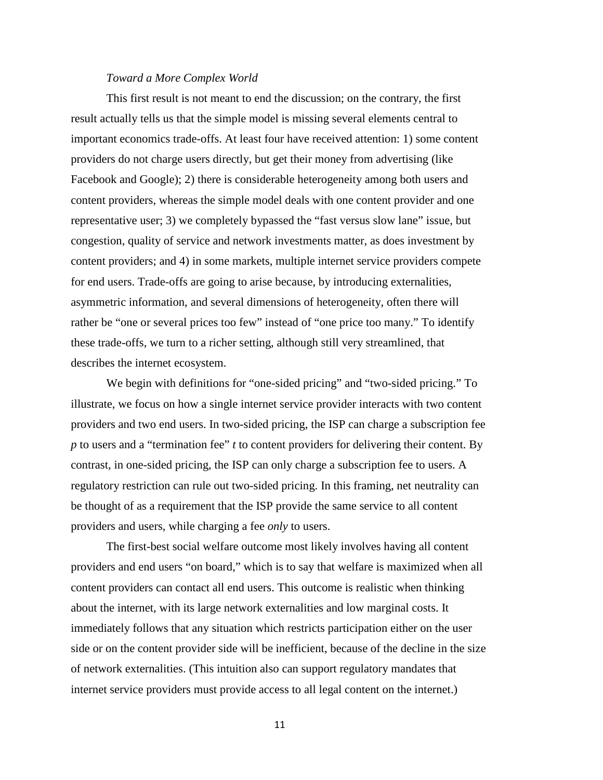#### *Toward a More Complex World*

This first result is not meant to end the discussion; on the contrary, the first result actually tells us that the simple model is missing several elements central to important economics trade-offs. At least four have received attention: 1) some content providers do not charge users directly, but get their money from advertising (like Facebook and Google); 2) there is considerable heterogeneity among both users and content providers, whereas the simple model deals with one content provider and one representative user; 3) we completely bypassed the "fast versus slow lane" issue, but congestion, quality of service and network investments matter, as does investment by content providers; and 4) in some markets, multiple internet service providers compete for end users. Trade-offs are going to arise because, by introducing externalities, asymmetric information, and several dimensions of heterogeneity, often there will rather be "one or several prices too few" instead of "one price too many." To identify these trade-offs, we turn to a richer setting, although still very streamlined, that describes the internet ecosystem.

We begin with definitions for "one-sided pricing" and "two-sided pricing." To illustrate, we focus on how a single internet service provider interacts with two content providers and two end users. In two-sided pricing, the ISP can charge a subscription fee *p* to users and a "termination fee" *t* to content providers for delivering their content. By contrast, in one-sided pricing, the ISP can only charge a subscription fee to users. A regulatory restriction can rule out two-sided pricing. In this framing, net neutrality can be thought of as a requirement that the ISP provide the same service to all content providers and users, while charging a fee *only* to users.

The first-best social welfare outcome most likely involves having all content providers and end users "on board," which is to say that welfare is maximized when all content providers can contact all end users. This outcome is realistic when thinking about the internet, with its large network externalities and low marginal costs. It immediately follows that any situation which restricts participation either on the user side or on the content provider side will be inefficient, because of the decline in the size of network externalities. (This intuition also can support regulatory mandates that internet service providers must provide access to all legal content on the internet.)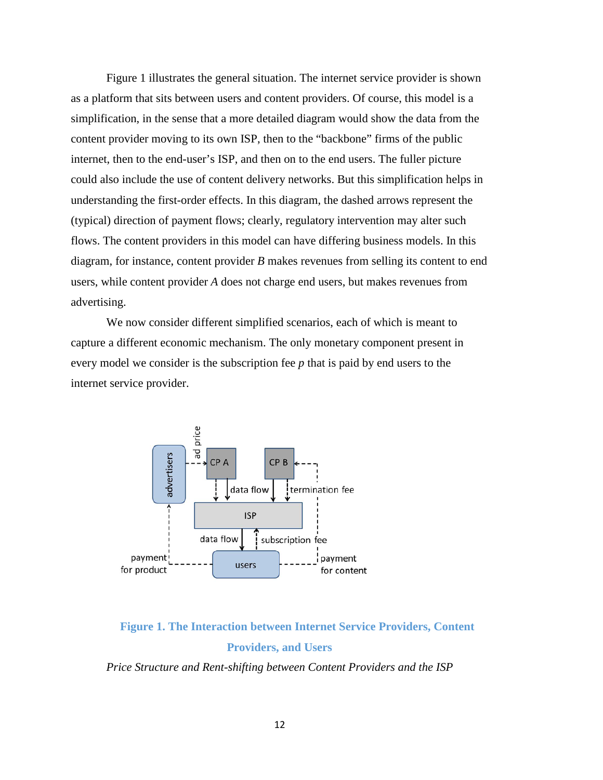Figure 1 illustrates the general situation. The internet service provider is shown as a platform that sits between users and content providers. Of course, this model is a simplification, in the sense that a more detailed diagram would show the data from the content provider moving to its own ISP, then to the "backbone" firms of the public internet, then to the end-user's ISP, and then on to the end users. The fuller picture could also include the use of content delivery networks. But this simplification helps in understanding the first-order effects. In this diagram, the dashed arrows represent the (typical) direction of payment flows; clearly, regulatory intervention may alter such flows. The content providers in this model can have differing business models. In this diagram, for instance, content provider *B* makes revenues from selling its content to end users, while content provider *A* does not charge end users, but makes revenues from advertising.

We now consider different simplified scenarios, each of which is meant to capture a different economic mechanism. The only monetary component present in every model we consider is the subscription fee *p* that is paid by end users to the internet service provider.



# **Figure 1. The Interaction between Internet Service Providers, Content Providers, and Users**

*Price Structure and Rent-shifting between Content Providers and the ISP*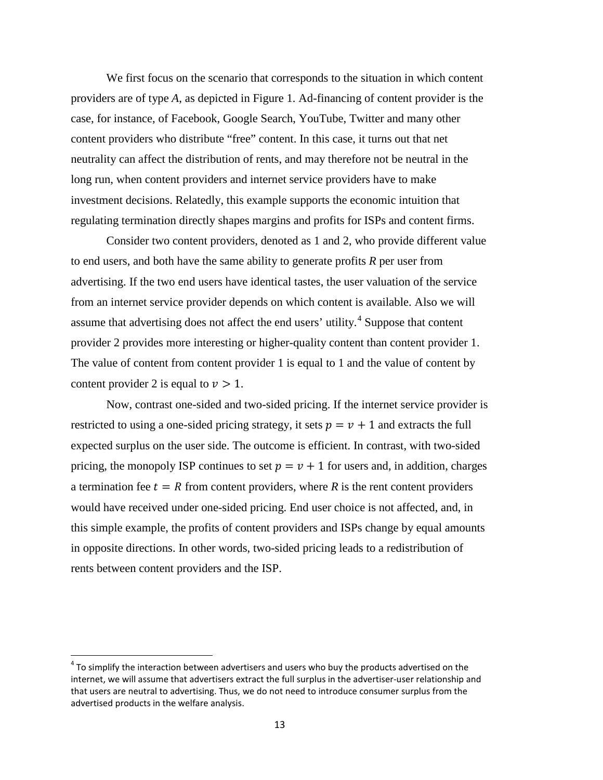We first focus on the scenario that corresponds to the situation in which content providers are of type *A*, as depicted in Figure 1. Ad-financing of content provider is the case, for instance, of Facebook, Google Search, YouTube, Twitter and many other content providers who distribute "free" content. In this case, it turns out that net neutrality can affect the distribution of rents, and may therefore not be neutral in the long run, when content providers and internet service providers have to make investment decisions. Relatedly, this example supports the economic intuition that regulating termination directly shapes margins and profits for ISPs and content firms.

Consider two content providers, denoted as 1 and 2, who provide different value to end users, and both have the same ability to generate profits *R* per user from advertising. If the two end users have identical tastes, the user valuation of the service from an internet service provider depends on which content is available. Also we will assume that advertising does not affect the end users' utility.<sup>[4](#page-13-0)</sup> Suppose that content provider 2 provides more interesting or higher-quality content than content provider 1. The value of content from content provider 1 is equal to 1 and the value of content by content provider 2 is equal to  $\nu > 1$ .

Now, contrast one-sided and two-sided pricing. If the internet service provider is restricted to using a one-sided pricing strategy, it sets  $p = v + 1$  and extracts the full expected surplus on the user side. The outcome is efficient. In contrast, with two-sided pricing, the monopoly ISP continues to set  $p = v + 1$  for users and, in addition, charges a termination fee  $t = R$  from content providers, where R is the rent content providers would have received under one-sided pricing. End user choice is not affected, and, in this simple example, the profits of content providers and ISPs change by equal amounts in opposite directions. In other words, two-sided pricing leads to a redistribution of rents between content providers and the ISP.

<span id="page-13-0"></span> $4$  To simplify the interaction between advertisers and users who buy the products advertised on the internet, we will assume that advertisers extract the full surplus in the advertiser-user relationship and that users are neutral to advertising. Thus, we do not need to introduce consumer surplus from the advertised products in the welfare analysis.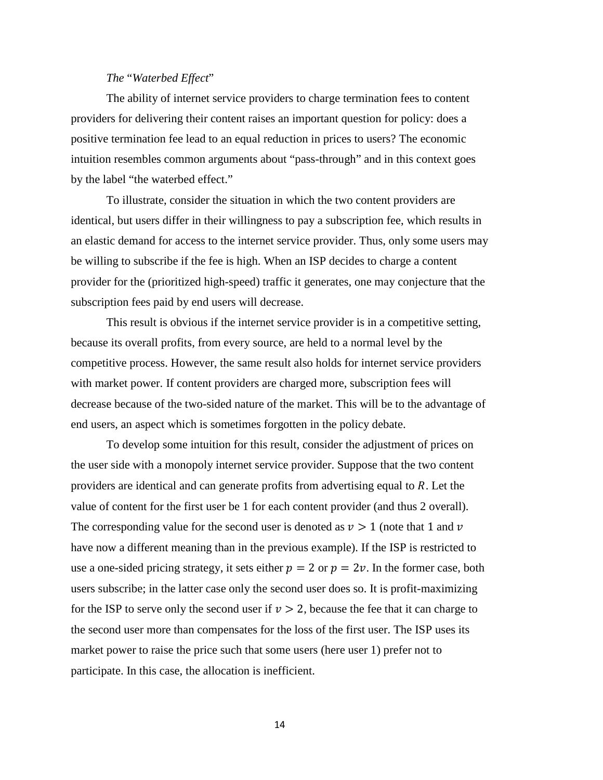#### *The* "*Waterbed Effect*"

The ability of internet service providers to charge termination fees to content providers for delivering their content raises an important question for policy: does a positive termination fee lead to an equal reduction in prices to users? The economic intuition resembles common arguments about "pass-through" and in this context goes by the label "the waterbed effect."

To illustrate, consider the situation in which the two content providers are identical, but users differ in their willingness to pay a subscription fee, which results in an elastic demand for access to the internet service provider. Thus, only some users may be willing to subscribe if the fee is high. When an ISP decides to charge a content provider for the (prioritized high-speed) traffic it generates, one may conjecture that the subscription fees paid by end users will decrease.

This result is obvious if the internet service provider is in a competitive setting, because its overall profits, from every source, are held to a normal level by the competitive process. However, the same result also holds for internet service providers with market power. If content providers are charged more, subscription fees will decrease because of the two-sided nature of the market. This will be to the advantage of end users, an aspect which is sometimes forgotten in the policy debate.

To develop some intuition for this result, consider the adjustment of prices on the user side with a monopoly internet service provider. Suppose that the two content providers are identical and can generate profits from advertising equal to  $R$ . Let the value of content for the first user be 1 for each content provider (and thus 2 overall). The corresponding value for the second user is denoted as  $v > 1$  (note that 1 and v have now a different meaning than in the previous example). If the ISP is restricted to use a one-sided pricing strategy, it sets either  $p = 2$  or  $p = 2v$ . In the former case, both users subscribe; in the latter case only the second user does so. It is profit-maximizing for the ISP to serve only the second user if  $v > 2$ , because the fee that it can charge to the second user more than compensates for the loss of the first user. The ISP uses its market power to raise the price such that some users (here user 1) prefer not to participate. In this case, the allocation is inefficient.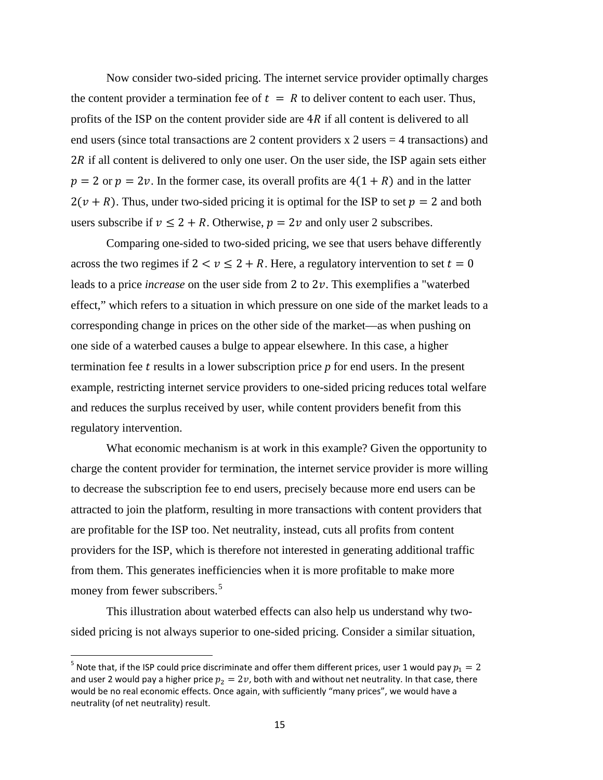Now consider two-sided pricing. The internet service provider optimally charges the content provider a termination fee of  $t = R$  to deliver content to each user. Thus, profits of the ISP on the content provider side are  $4R$  if all content is delivered to all end users (since total transactions are 2 content providers x 2 users = 4 transactions) and  $2R$  if all content is delivered to only one user. On the user side, the ISP again sets either  $p = 2$  or  $p = 2v$ . In the former case, its overall profits are  $4(1 + R)$  and in the latter  $2(\nu + R)$ . Thus, under two-sided pricing it is optimal for the ISP to set  $p = 2$  and both users subscribe if  $v \le 2 + R$ . Otherwise,  $p = 2v$  and only user 2 subscribes.

Comparing one-sided to two-sided pricing, we see that users behave differently across the two regimes if  $2 < v \le 2 + R$ . Here, a regulatory intervention to set  $t = 0$ leads to a price *increase* on the user side from 2 to  $2\nu$ . This exemplifies a "waterbed" effect," which refers to a situation in which pressure on one side of the market leads to a corresponding change in prices on the other side of the market—as when pushing on one side of a waterbed causes a bulge to appear elsewhere. In this case, a higher termination fee results in a lower subscription price *p* for end users. In the present example, restricting internet service providers to one-sided pricing reduces total welfare and reduces the surplus received by user, while content providers benefit from this regulatory intervention.

What economic mechanism is at work in this example? Given the opportunity to charge the content provider for termination, the internet service provider is more willing to decrease the subscription fee to end users, precisely because more end users can be attracted to join the platform, resulting in more transactions with content providers that are profitable for the ISP too. Net neutrality, instead, cuts all profits from content providers for the ISP, which is therefore not interested in generating additional traffic from them. This generates inefficiencies when it is more profitable to make more money from fewer subscribers.<sup>[5](#page-15-0)</sup>

This illustration about waterbed effects can also help us understand why twosided pricing is not always superior to one-sided pricing. Consider a similar situation,

<span id="page-15-0"></span><sup>&</sup>lt;sup>5</sup> Note that, if the ISP could price discriminate and offer them different prices, user 1 would pay  $p_1 = 2$ and user 2 would pay a higher price  $p_2 = 2v$ , both with and without net neutrality. In that case, there would be no real economic effects. Once again, with sufficiently "many prices", we would have a neutrality (of net neutrality) result.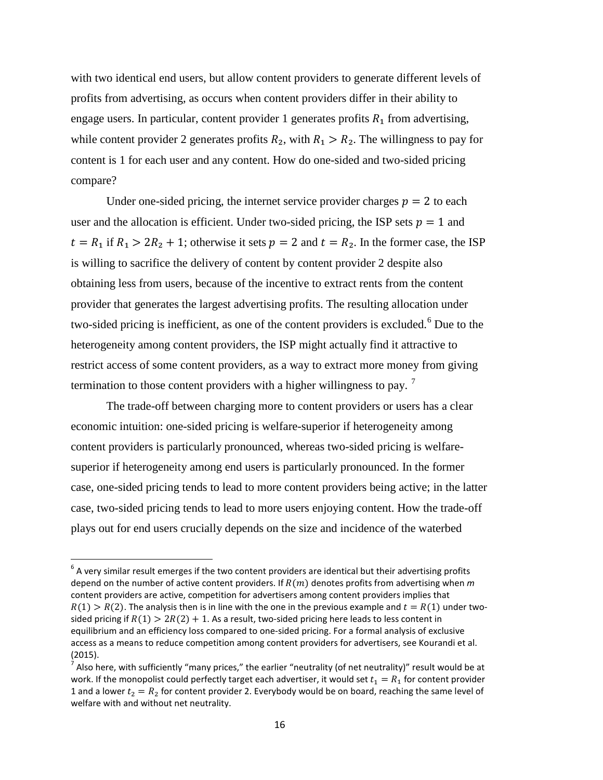with two identical end users, but allow content providers to generate different levels of profits from advertising, as occurs when content providers differ in their ability to engage users. In particular, content provider 1 generates profits  $R_1$  from advertising, while content provider 2 generates profits  $R_2$ , with  $R_1 > R_2$ . The willingness to pay for content is 1 for each user and any content. How do one-sided and two-sided pricing compare?

Under one-sided pricing, the internet service provider charges  $p = 2$  to each user and the allocation is efficient. Under two-sided pricing, the ISP sets  $p = 1$  and  $t = R_1$  if  $R_1 > 2R_2 + 1$ ; otherwise it sets  $p = 2$  and  $t = R_2$ . In the former case, the ISP is willing to sacrifice the delivery of content by content provider 2 despite also obtaining less from users, because of the incentive to extract rents from the content provider that generates the largest advertising profits. The resulting allocation under two-sided pricing is inefficient, as one of the content providers is excluded.<sup>[6](#page-16-0)</sup> Due to the heterogeneity among content providers, the ISP might actually find it attractive to restrict access of some content providers, as a way to extract more money from giving termination to those content providers with a higher willingness to pay.<sup>[7](#page-16-1)</sup>

The trade-off between charging more to content providers or users has a clear economic intuition: one-sided pricing is welfare-superior if heterogeneity among content providers is particularly pronounced, whereas two-sided pricing is welfaresuperior if heterogeneity among end users is particularly pronounced. In the former case, one-sided pricing tends to lead to more content providers being active; in the latter case, two-sided pricing tends to lead to more users enjoying content. How the trade-off plays out for end users crucially depends on the size and incidence of the waterbed

<span id="page-16-0"></span> $6$  A very similar result emerges if the two content providers are identical but their advertising profits depend on the number of active content providers. If  $R(m)$  denotes profits from advertising when  $m$ content providers are active, competition for advertisers among content providers implies that  $R(1) > R(2)$ . The analysis then is in line with the one in the previous example and  $t = R(1)$  under twosided pricing if  $R(1) > 2R(2) + 1$ . As a result, two-sided pricing here leads to less content in equilibrium and an efficiency loss compared to one-sided pricing. For a formal analysis of exclusive access as a means to reduce competition among content providers for advertisers, see Kourandi et al. (2015).

<span id="page-16-1"></span> $^7$  Also here, with sufficiently "many prices," the earlier "neutrality (of net neutrality)" result would be at work. If the monopolist could perfectly target each advertiser, it would set  $t_1 = R_1$  for content provider 1 and a lower  $t_2 = R_2$  for content provider 2. Everybody would be on board, reaching the same level of welfare with and without net neutrality.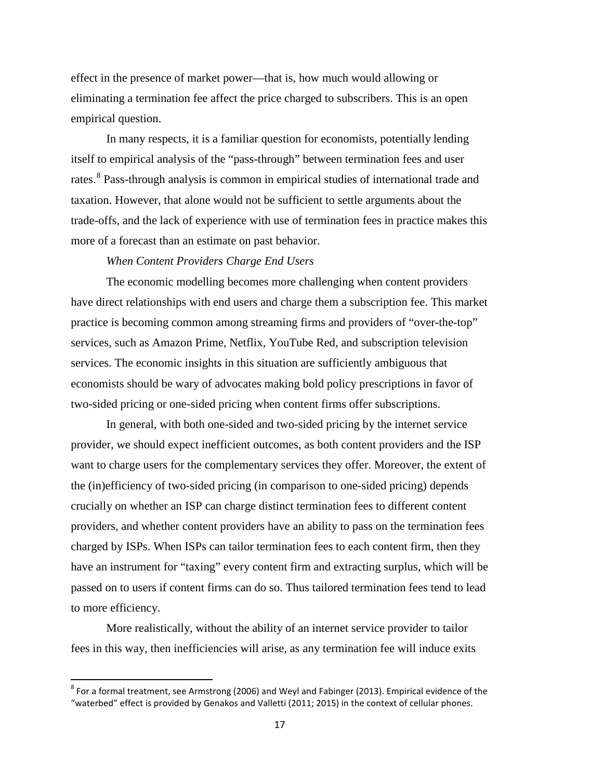effect in the presence of market power—that is, how much would allowing or eliminating a termination fee affect the price charged to subscribers. This is an open empirical question.

In many respects, it is a familiar question for economists, potentially lending itself to empirical analysis of the "pass-through" between termination fees and user rates.<sup>[8](#page-17-0)</sup> Pass-through analysis is common in empirical studies of international trade and taxation. However, that alone would not be sufficient to settle arguments about the trade-offs, and the lack of experience with use of termination fees in practice makes this more of a forecast than an estimate on past behavior.

#### *When Content Providers Charge End Users*

The economic modelling becomes more challenging when content providers have direct relationships with end users and charge them a subscription fee. This market practice is becoming common among streaming firms and providers of "over-the-top" services, such as Amazon Prime, Netflix, YouTube Red, and subscription television services. The economic insights in this situation are sufficiently ambiguous that economists should be wary of advocates making bold policy prescriptions in favor of two-sided pricing or one-sided pricing when content firms offer subscriptions.

In general, with both one-sided and two-sided pricing by the internet service provider, we should expect inefficient outcomes, as both content providers and the ISP want to charge users for the complementary services they offer. Moreover, the extent of the (in)efficiency of two-sided pricing (in comparison to one-sided pricing) depends crucially on whether an ISP can charge distinct termination fees to different content providers, and whether content providers have an ability to pass on the termination fees charged by ISPs. When ISPs can tailor termination fees to each content firm, then they have an instrument for "taxing" every content firm and extracting surplus, which will be passed on to users if content firms can do so. Thus tailored termination fees tend to lead to more efficiency.

More realistically, without the ability of an internet service provider to tailor fees in this way, then inefficiencies will arise, as any termination fee will induce exits

<span id="page-17-0"></span> $8$  For a formal treatment, see Armstrong (2006) and Weyl and Fabinger (2013). Empirical evidence of the "waterbed" effect is provided by Genakos and Valletti (2011; 2015) in the context of cellular phones.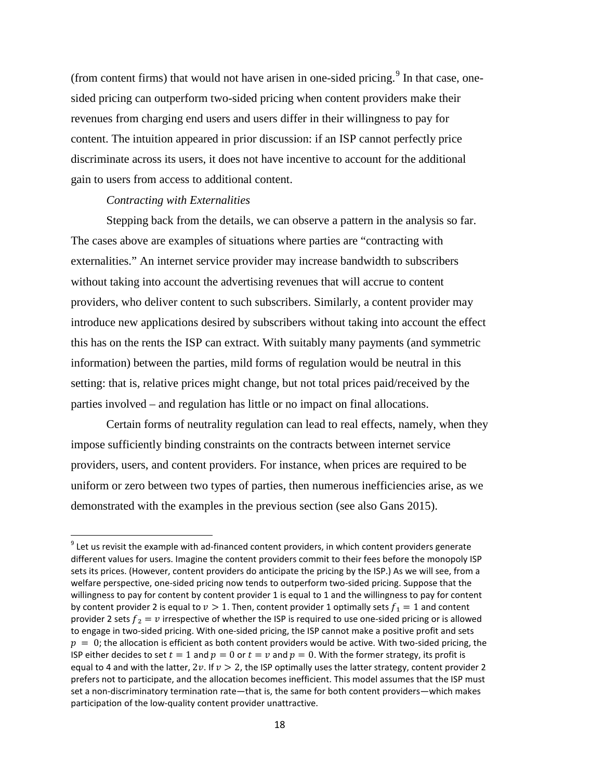(from content firms) that would not have arisen in one-sided pricing.<sup>[9](#page-18-0)</sup> In that case, onesided pricing can outperform two-sided pricing when content providers make their revenues from charging end users and users differ in their willingness to pay for content. The intuition appeared in prior discussion: if an ISP cannot perfectly price discriminate across its users, it does not have incentive to account for the additional gain to users from access to additional content.

#### *Contracting with Externalities*

Stepping back from the details, we can observe a pattern in the analysis so far. The cases above are examples of situations where parties are "contracting with externalities." An internet service provider may increase bandwidth to subscribers without taking into account the advertising revenues that will accrue to content providers, who deliver content to such subscribers. Similarly, a content provider may introduce new applications desired by subscribers without taking into account the effect this has on the rents the ISP can extract. With suitably many payments (and symmetric information) between the parties, mild forms of regulation would be neutral in this setting: that is, relative prices might change, but not total prices paid/received by the parties involved – and regulation has little or no impact on final allocations.

Certain forms of neutrality regulation can lead to real effects, namely, when they impose sufficiently binding constraints on the contracts between internet service providers, users, and content providers. For instance, when prices are required to be uniform or zero between two types of parties, then numerous inefficiencies arise, as we demonstrated with the examples in the previous section (see also Gans 2015).

<span id="page-18-0"></span> $9$  Let us revisit the example with ad-financed content providers, in which content providers generate different values for users. Imagine the content providers commit to their fees before the monopoly ISP sets its prices. (However, content providers do anticipate the pricing by the ISP.) As we will see, from a welfare perspective, one-sided pricing now tends to outperform two-sided pricing. Suppose that the willingness to pay for content by content provider 1 is equal to 1 and the willingness to pay for content by content provider 2 is equal to  $v > 1$ . Then, content provider 1 optimally sets  $f_1 = 1$  and content provider 2 sets  $f_2 = v$  irrespective of whether the ISP is required to use one-sided pricing or is allowed to engage in two-sided pricing. With one-sided pricing, the ISP cannot make a positive profit and sets  $p = 0$ ; the allocation is efficient as both content providers would be active. With two-sided pricing, the ISP either decides to set  $t = 1$  and  $p = 0$  or  $t = v$  and  $p = 0$ . With the former strategy, its profit is equal to 4 and with the latter,  $2v$ . If  $v > 2$ , the ISP optimally uses the latter strategy, content provider 2 prefers not to participate, and the allocation becomes inefficient. This model assumes that the ISP must set a non-discriminatory termination rate—that is, the same for both content providers—which makes participation of the low-quality content provider unattractive.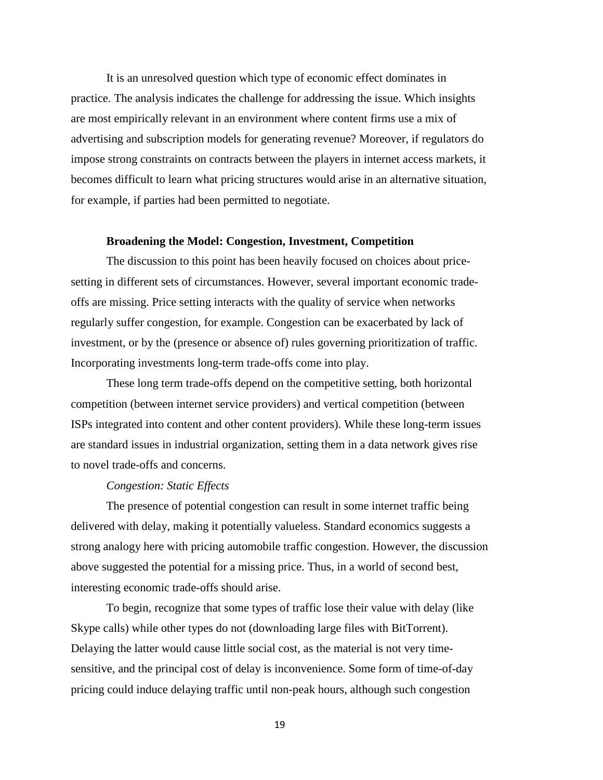It is an unresolved question which type of economic effect dominates in practice. The analysis indicates the challenge for addressing the issue. Which insights are most empirically relevant in an environment where content firms use a mix of advertising and subscription models for generating revenue? Moreover, if regulators do impose strong constraints on contracts between the players in internet access markets, it becomes difficult to learn what pricing structures would arise in an alternative situation, for example, if parties had been permitted to negotiate.

#### **Broadening the Model: Congestion, Investment, Competition**

The discussion to this point has been heavily focused on choices about pricesetting in different sets of circumstances. However, several important economic tradeoffs are missing. Price setting interacts with the quality of service when networks regularly suffer congestion, for example. Congestion can be exacerbated by lack of investment, or by the (presence or absence of) rules governing prioritization of traffic. Incorporating investments long-term trade-offs come into play.

These long term trade-offs depend on the competitive setting, both horizontal competition (between internet service providers) and vertical competition (between ISPs integrated into content and other content providers). While these long-term issues are standard issues in industrial organization, setting them in a data network gives rise to novel trade-offs and concerns.

#### *Congestion: Static Effects*

The presence of potential congestion can result in some internet traffic being delivered with delay, making it potentially valueless. Standard economics suggests a strong analogy here with pricing automobile traffic congestion. However, the discussion above suggested the potential for a missing price. Thus, in a world of second best, interesting economic trade-offs should arise.

To begin, recognize that some types of traffic lose their value with delay (like Skype calls) while other types do not (downloading large files with BitTorrent). Delaying the latter would cause little social cost, as the material is not very timesensitive, and the principal cost of delay is inconvenience. Some form of time-of-day pricing could induce delaying traffic until non-peak hours, although such congestion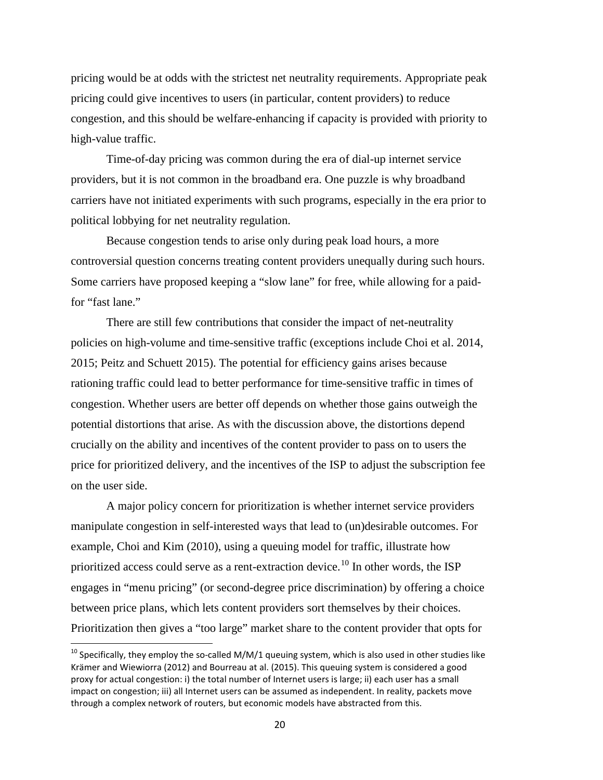pricing would be at odds with the strictest net neutrality requirements. Appropriate peak pricing could give incentives to users (in particular, content providers) to reduce congestion, and this should be welfare-enhancing if capacity is provided with priority to high-value traffic.

Time-of-day pricing was common during the era of dial-up internet service providers, but it is not common in the broadband era. One puzzle is why broadband carriers have not initiated experiments with such programs, especially in the era prior to political lobbying for net neutrality regulation.

Because congestion tends to arise only during peak load hours, a more controversial question concerns treating content providers unequally during such hours. Some carriers have proposed keeping a "slow lane" for free, while allowing for a paidfor "fast lane."

There are still few contributions that consider the impact of net-neutrality policies on high-volume and time-sensitive traffic (exceptions include Choi et al. 2014, 2015; Peitz and Schuett 2015). The potential for efficiency gains arises because rationing traffic could lead to better performance for time-sensitive traffic in times of congestion. Whether users are better off depends on whether those gains outweigh the potential distortions that arise. As with the discussion above, the distortions depend crucially on the ability and incentives of the content provider to pass on to users the price for prioritized delivery, and the incentives of the ISP to adjust the subscription fee on the user side.

A major policy concern for prioritization is whether internet service providers manipulate congestion in self-interested ways that lead to (un)desirable outcomes. For example, Choi and Kim (2010), using a queuing model for traffic, illustrate how prioritized access could serve as a rent-extraction device.<sup>[10](#page-20-0)</sup> In other words, the ISP engages in "menu pricing" (or second-degree price discrimination) by offering a choice between price plans, which lets content providers sort themselves by their choices. Prioritization then gives a "too large" market share to the content provider that opts for

<span id="page-20-0"></span> $10$  Specifically, they employ the so-called M/M/1 queuing system, which is also used in other studies like Krämer and Wiewiorra (2012) and Bourreau at al. (2015). This queuing system is considered a good proxy for actual congestion: i) the total number of Internet users is large; ii) each user has a small impact on congestion; iii) all Internet users can be assumed as independent. In reality, packets move through a complex network of routers, but economic models have abstracted from this.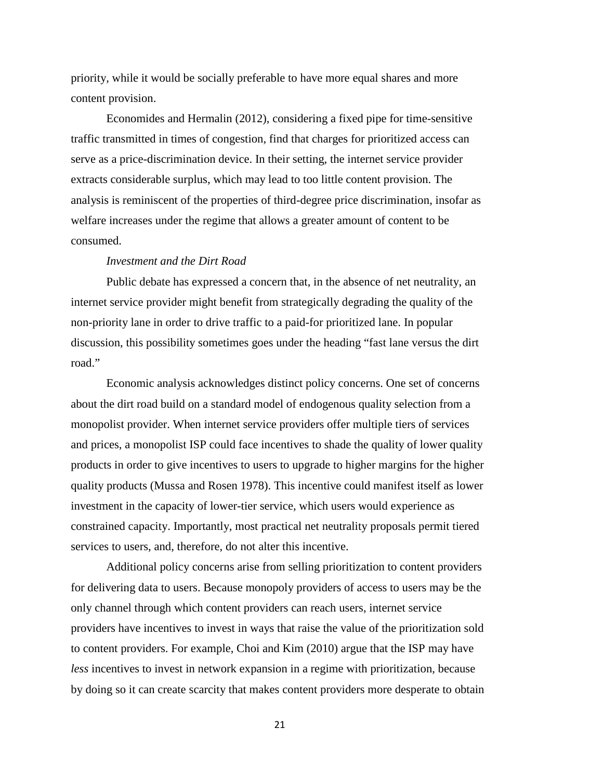priority, while it would be socially preferable to have more equal shares and more content provision.

Economides and Hermalin (2012), considering a fixed pipe for time-sensitive traffic transmitted in times of congestion, find that charges for prioritized access can serve as a price-discrimination device. In their setting, the internet service provider extracts considerable surplus, which may lead to too little content provision. The analysis is reminiscent of the properties of third-degree price discrimination, insofar as welfare increases under the regime that allows a greater amount of content to be consumed.

#### *Investment and the Dirt Road*

Public debate has expressed a concern that, in the absence of net neutrality, an internet service provider might benefit from strategically degrading the quality of the non-priority lane in order to drive traffic to a paid-for prioritized lane. In popular discussion, this possibility sometimes goes under the heading "fast lane versus the dirt road."

Economic analysis acknowledges distinct policy concerns. One set of concerns about the dirt road build on a standard model of endogenous quality selection from a monopolist provider. When internet service providers offer multiple tiers of services and prices, a monopolist ISP could face incentives to shade the quality of lower quality products in order to give incentives to users to upgrade to higher margins for the higher quality products (Mussa and Rosen 1978). This incentive could manifest itself as lower investment in the capacity of lower-tier service, which users would experience as constrained capacity. Importantly, most practical net neutrality proposals permit tiered services to users, and, therefore, do not alter this incentive.

Additional policy concerns arise from selling prioritization to content providers for delivering data to users. Because monopoly providers of access to users may be the only channel through which content providers can reach users, internet service providers have incentives to invest in ways that raise the value of the prioritization sold to content providers. For example, Choi and Kim (2010) argue that the ISP may have *less* incentives to invest in network expansion in a regime with prioritization, because by doing so it can create scarcity that makes content providers more desperate to obtain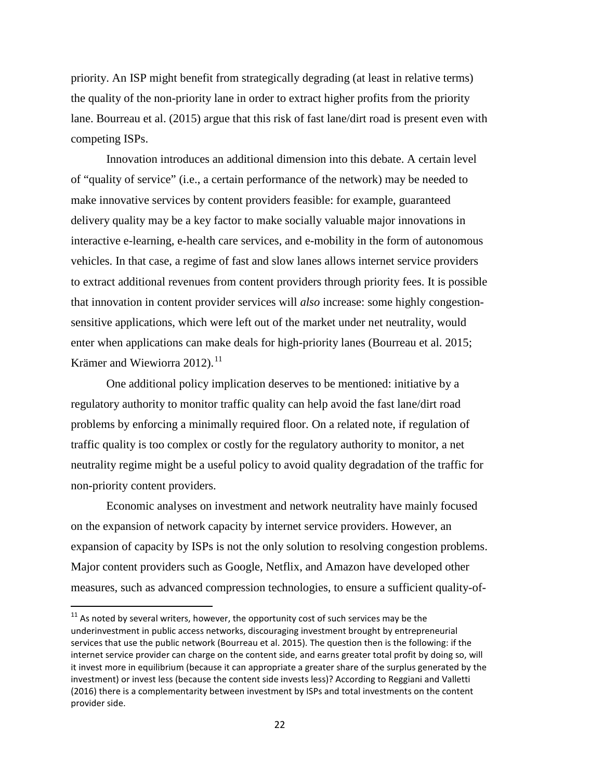priority. An ISP might benefit from strategically degrading (at least in relative terms) the quality of the non-priority lane in order to extract higher profits from the priority lane. Bourreau et al. (2015) argue that this risk of fast lane/dirt road is present even with competing ISPs.

Innovation introduces an additional dimension into this debate. A certain level of "quality of service" (i.e., a certain performance of the network) may be needed to make innovative services by content providers feasible: for example, guaranteed delivery quality may be a key factor to make socially valuable major innovations in interactive e-learning, e-health care services, and e-mobility in the form of autonomous vehicles. In that case, a regime of fast and slow lanes allows internet service providers to extract additional revenues from content providers through priority fees. It is possible that innovation in content provider services will *also* increase: some highly congestionsensitive applications, which were left out of the market under net neutrality, would enter when applications can make deals for high-priority lanes (Bourreau et al. 2015; Krämer and Wiewiorra 2012). $^{11}$  $^{11}$  $^{11}$ 

One additional policy implication deserves to be mentioned: initiative by a regulatory authority to monitor traffic quality can help avoid the fast lane/dirt road problems by enforcing a minimally required floor. On a related note, if regulation of traffic quality is too complex or costly for the regulatory authority to monitor, a net neutrality regime might be a useful policy to avoid quality degradation of the traffic for non-priority content providers.

Economic analyses on investment and network neutrality have mainly focused on the expansion of network capacity by internet service providers. However, an expansion of capacity by ISPs is not the only solution to resolving congestion problems. Major content providers such as Google, Netflix, and Amazon have developed other measures, such as advanced compression technologies, to ensure a sufficient quality-of-

<span id="page-22-0"></span> $11$  As noted by several writers, however, the opportunity cost of such services may be the underinvestment in public access networks, discouraging investment brought by entrepreneurial services that use the public network (Bourreau et al. 2015). The question then is the following: if the internet service provider can charge on the content side, and earns greater total profit by doing so, will it invest more in equilibrium (because it can appropriate a greater share of the surplus generated by the investment) or invest less (because the content side invests less)? According to Reggiani and Valletti (2016) there is a complementarity between investment by ISPs and total investments on the content provider side.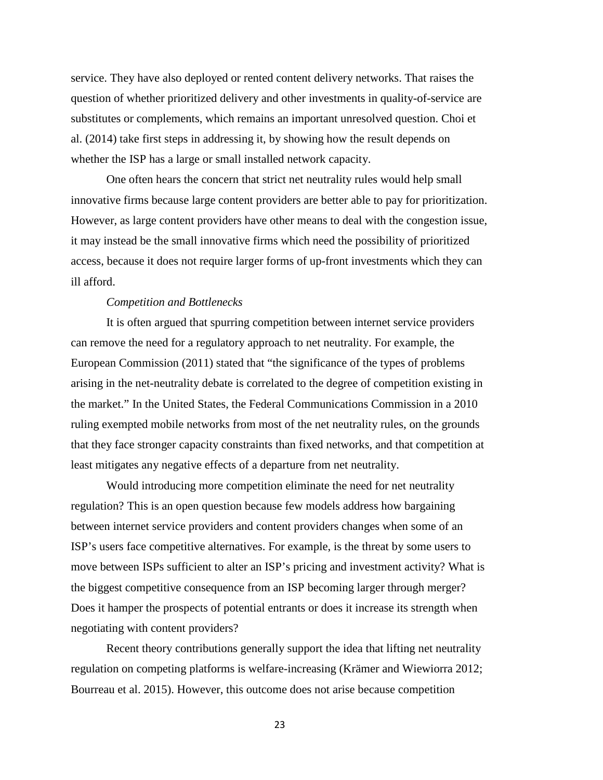service. They have also deployed or rented content delivery networks. That raises the question of whether prioritized delivery and other investments in quality-of-service are substitutes or complements, which remains an important unresolved question. Choi et al. (2014) take first steps in addressing it, by showing how the result depends on whether the ISP has a large or small installed network capacity.

One often hears the concern that strict net neutrality rules would help small innovative firms because large content providers are better able to pay for prioritization. However, as large content providers have other means to deal with the congestion issue, it may instead be the small innovative firms which need the possibility of prioritized access, because it does not require larger forms of up-front investments which they can ill afford.

#### *Competition and Bottlenecks*

It is often argued that spurring competition between internet service providers can remove the need for a regulatory approach to net neutrality. For example, the European Commission (2011) stated that "the significance of the types of problems arising in the net-neutrality debate is correlated to the degree of competition existing in the market." In the United States, the Federal Communications Commission in a 2010 ruling exempted mobile networks from most of the net neutrality rules, on the grounds that they face stronger capacity constraints than fixed networks, and that competition at least mitigates any negative effects of a departure from net neutrality.

Would introducing more competition eliminate the need for net neutrality regulation? This is an open question because few models address how bargaining between internet service providers and content providers changes when some of an ISP's users face competitive alternatives. For example, is the threat by some users to move between ISPs sufficient to alter an ISP's pricing and investment activity? What is the biggest competitive consequence from an ISP becoming larger through merger? Does it hamper the prospects of potential entrants or does it increase its strength when negotiating with content providers?

Recent theory contributions generally support the idea that lifting net neutrality regulation on competing platforms is welfare-increasing (Krämer and Wiewiorra 2012; Bourreau et al. 2015). However, this outcome does not arise because competition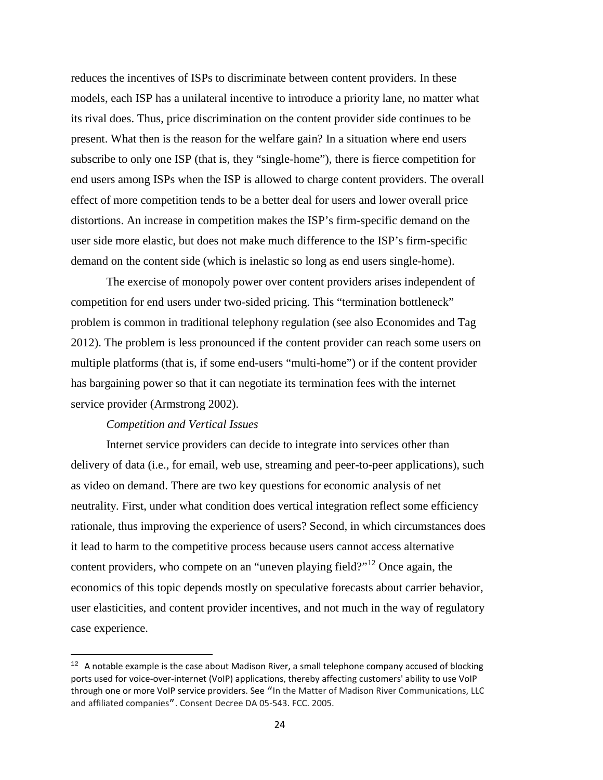reduces the incentives of ISPs to discriminate between content providers. In these models, each ISP has a unilateral incentive to introduce a priority lane, no matter what its rival does. Thus, price discrimination on the content provider side continues to be present. What then is the reason for the welfare gain? In a situation where end users subscribe to only one ISP (that is, they "single-home"), there is fierce competition for end users among ISPs when the ISP is allowed to charge content providers. The overall effect of more competition tends to be a better deal for users and lower overall price distortions. An increase in competition makes the ISP's firm-specific demand on the user side more elastic, but does not make much difference to the ISP's firm-specific demand on the content side (which is inelastic so long as end users single-home).

The exercise of monopoly power over content providers arises independent of competition for end users under two-sided pricing. This "termination bottleneck" problem is common in traditional telephony regulation (see also Economides and Tag 2012). The problem is less pronounced if the content provider can reach some users on multiple platforms (that is, if some end-users "multi-home") or if the content provider has bargaining power so that it can negotiate its termination fees with the internet service provider (Armstrong 2002).

## *Competition and Vertical Issues*

 $\overline{\phantom{a}}$ 

Internet service providers can decide to integrate into services other than delivery of data (i.e., for email, web use, streaming and peer-to-peer applications), such as video on demand. There are two key questions for economic analysis of net neutrality. First, under what condition does vertical integration reflect some efficiency rationale, thus improving the experience of users? Second, in which circumstances does it lead to harm to the competitive process because users cannot access alternative content providers, who compete on an "uneven playing field?"<sup>[12](#page-24-0)</sup> Once again, the economics of this topic depends mostly on speculative forecasts about carrier behavior, user elasticities, and content provider incentives, and not much in the way of regulatory case experience.

<span id="page-24-0"></span> $12$  A notable example is the case about Madison River, a small telephone company accused of blocking ports used for voice-over-internet (VoIP) applications, thereby affecting customers' ability to use VoIP through one or more VoIP service providers. See "In the Matter of Madison River Communications, LLC and affiliated companies". Consent Decree DA 05-543. FCC. 2005.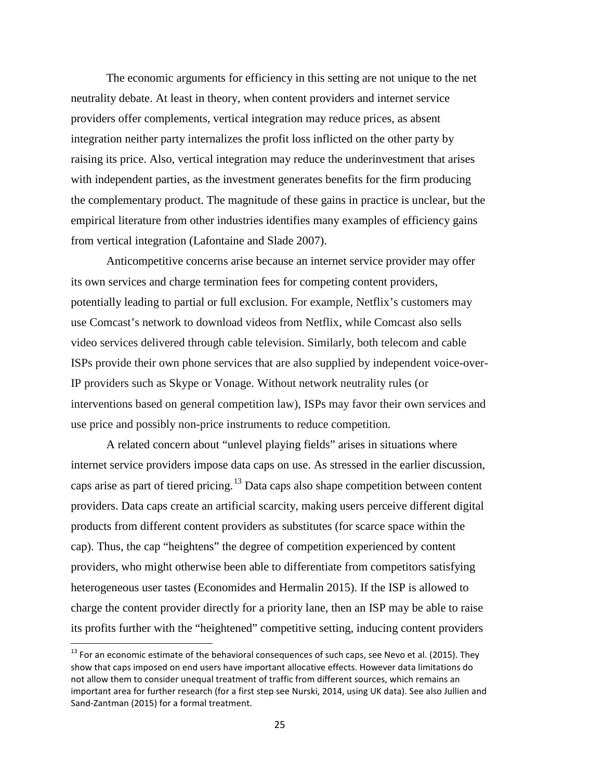The economic arguments for efficiency in this setting are not unique to the net neutrality debate. At least in theory, when content providers and internet service providers offer complements, vertical integration may reduce prices, as absent integration neither party internalizes the profit loss inflicted on the other party by raising its price. Also, vertical integration may reduce the underinvestment that arises with independent parties, as the investment generates benefits for the firm producing the complementary product. The magnitude of these gains in practice is unclear, but the empirical literature from other industries identifies many examples of efficiency gains from vertical integration (Lafontaine and Slade 2007).

Anticompetitive concerns arise because an internet service provider may offer its own services and charge termination fees for competing content providers, potentially leading to partial or full exclusion. For example, Netflix's customers may use Comcast's network to download videos from Netflix, while Comcast also sells video services delivered through cable television. Similarly, both telecom and cable ISPs provide their own phone services that are also supplied by independent voice-over-IP providers such as Skype or Vonage. Without network neutrality rules (or interventions based on general competition law), ISPs may favor their own services and use price and possibly non-price instruments to reduce competition.

A related concern about "unlevel playing fields" arises in situations where internet service providers impose data caps on use. As stressed in the earlier discussion, caps arise as part of tiered pricing.<sup>[13](#page-25-0)</sup> Data caps also shape competition between content providers. Data caps create an artificial scarcity, making users perceive different digital products from different content providers as substitutes (for scarce space within the cap). Thus, the cap "heightens" the degree of competition experienced by content providers, who might otherwise been able to differentiate from competitors satisfying heterogeneous user tastes (Economides and Hermalin 2015). If the ISP is allowed to charge the content provider directly for a priority lane, then an ISP may be able to raise its profits further with the "heightened" competitive setting, inducing content providers

<span id="page-25-0"></span> $^{13}$  For an economic estimate of the behavioral consequences of such caps, see Nevo et al. (2015). They show that caps imposed on end users have important allocative effects. However data limitations do not allow them to consider unequal treatment of traffic from different sources, which remains an important area for further research (for a first step see Nurski, 2014, using UK data). See also Jullien and Sand-Zantman (2015) for a formal treatment.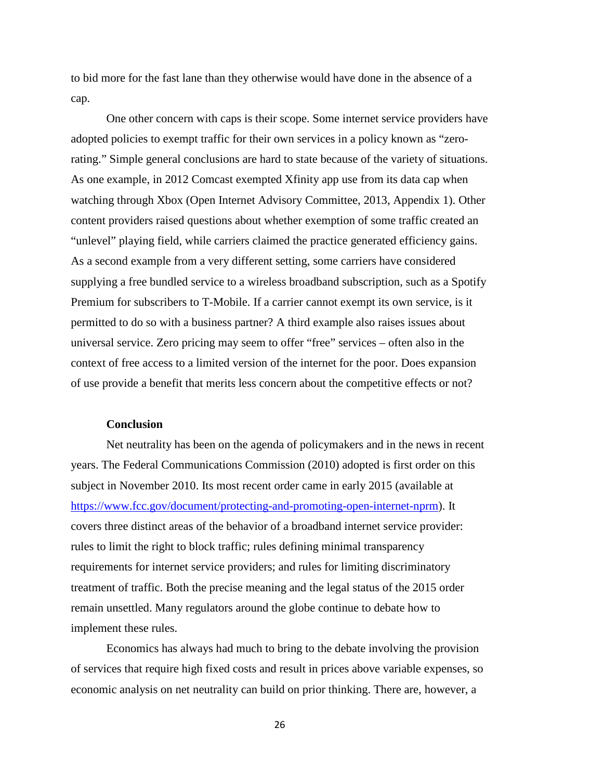to bid more for the fast lane than they otherwise would have done in the absence of a cap.

One other concern with caps is their scope. Some internet service providers have adopted policies to exempt traffic for their own services in a policy known as "zerorating." Simple general conclusions are hard to state because of the variety of situations. As one example, in 2012 Comcast exempted Xfinity app use from its data cap when watching through Xbox (Open Internet Advisory Committee, 2013, Appendix 1). Other content providers raised questions about whether exemption of some traffic created an "unlevel" playing field, while carriers claimed the practice generated efficiency gains. As a second example from a very different setting, some carriers have considered supplying a free bundled service to a wireless broadband subscription, such as a Spotify Premium for subscribers to T-Mobile. If a carrier cannot exempt its own service, is it permitted to do so with a business partner? A third example also raises issues about universal service. Zero pricing may seem to offer "free" services – often also in the context of free access to a limited version of the internet for the poor. Does expansion of use provide a benefit that merits less concern about the competitive effects or not?

# **Conclusion**

Net neutrality has been on the agenda of policymakers and in the news in recent years. The Federal Communications Commission (2010) adopted is first order on this subject in November 2010. Its most recent order came in early 2015 (available at [https://www.fcc.gov/document/protecting-and-promoting-open-internet-nprm\)](https://www.fcc.gov/document/protecting-and-promoting-open-internet-nprm). It covers three distinct areas of the behavior of a broadband internet service provider: rules to limit the right to block traffic; rules defining minimal transparency requirements for internet service providers; and rules for limiting discriminatory treatment of traffic. Both the precise meaning and the legal status of the 2015 order remain unsettled. Many regulators around the globe continue to debate how to implement these rules.

Economics has always had much to bring to the debate involving the provision of services that require high fixed costs and result in prices above variable expenses, so economic analysis on net neutrality can build on prior thinking. There are, however, a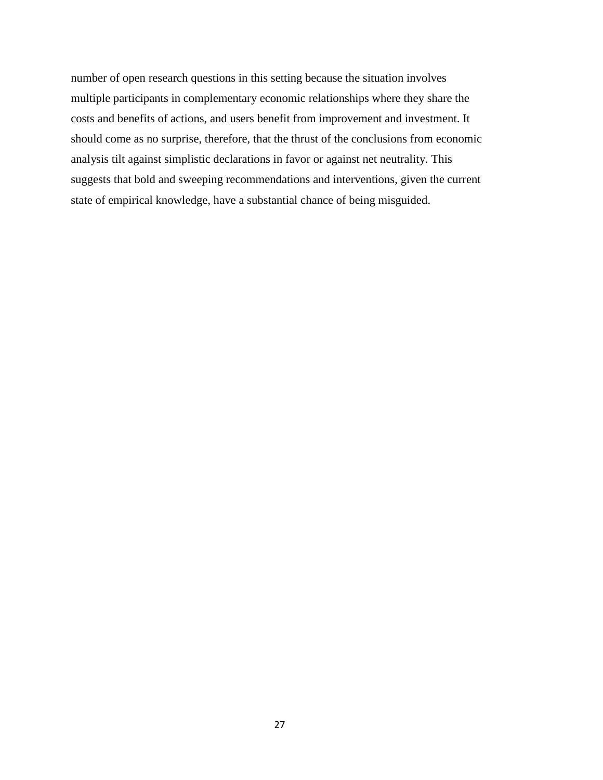number of open research questions in this setting because the situation involves multiple participants in complementary economic relationships where they share the costs and benefits of actions, and users benefit from improvement and investment. It should come as no surprise, therefore, that the thrust of the conclusions from economic analysis tilt against simplistic declarations in favor or against net neutrality. This suggests that bold and sweeping recommendations and interventions, given the current state of empirical knowledge, have a substantial chance of being misguided.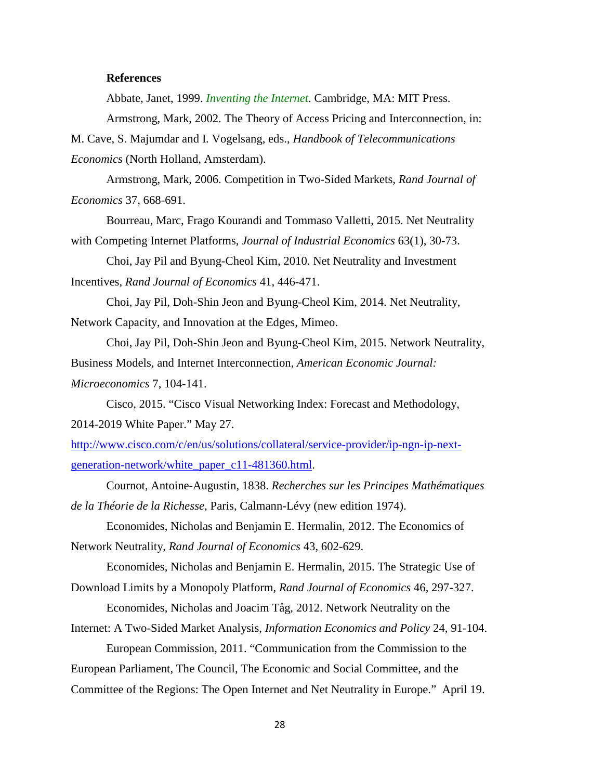## **References**

Abbate, Janet, 1999. *Inventing the Internet*. Cambridge, MA: MIT Press.

Armstrong, Mark, 2002. The Theory of Access Pricing and Interconnection, in:

M. Cave, S. Majumdar and I. Vogelsang, eds., *Handbook of Telecommunications Economics* (North Holland, Amsterdam).

Armstrong, Mark, 2006. Competition in Two-Sided Markets, *Rand Journal of Economics* 37, 668-691.

Bourreau, Marc, Frago Kourandi and Tommaso Valletti, 2015. Net Neutrality with Competing Internet Platforms, *Journal of Industrial Economics* 63(1), 30-73.

Choi, Jay Pil and Byung-Cheol Kim, 2010. Net Neutrality and Investment Incentives, *Rand Journal of Economics* 41, 446-471.

Choi, Jay Pil, Doh-Shin Jeon and Byung-Cheol Kim, 2014. Net Neutrality, Network Capacity, and Innovation at the Edges, Mimeo.

Choi, Jay Pil, Doh-Shin Jeon and Byung-Cheol Kim, 2015. Network Neutrality, Business Models, and Internet Interconnection, *American Economic Journal: Microeconomics* 7, 104-141.

Cisco, 2015. "Cisco Visual Networking Index: Forecast and Methodology, 2014-2019 White Paper." May 27.

[http://www.cisco.com/c/en/us/solutions/collateral/service-provider/ip-ngn-ip-next](http://www.cisco.com/c/en/us/solutions/collateral/service-provider/ip-ngn-ip-next-generation-network/white_paper_c11-481360.html)[generation-network/white\\_paper\\_c11-481360.html.](http://www.cisco.com/c/en/us/solutions/collateral/service-provider/ip-ngn-ip-next-generation-network/white_paper_c11-481360.html)

Cournot, Antoine-Augustin, 1838. *Recherches sur les Principes Mathématiques de la Théorie de la Richesse*, Paris, Calmann-Lévy (new edition 1974).

Economides, Nicholas and Benjamin E. Hermalin, 2012. The Economics of Network Neutrality, *Rand Journal of Economics* 43, 602-629.

Economides, Nicholas and Benjamin E. Hermalin, 2015. The Strategic Use of Download Limits by a Monopoly Platform, *Rand Journal of Economics* 46, 297-327.

Economides, Nicholas and Joacim Tåg, 2012. Network Neutrality on the

Internet: A Two-Sided Market Analysis, *Information Economics and Policy* 24, 91-104.

European Commission, 2011. "Communication from the Commission to the

European Parliament, The Council, The Economic and Social Committee, and the

Committee of the Regions: The Open Internet and Net Neutrality in Europe." April 19.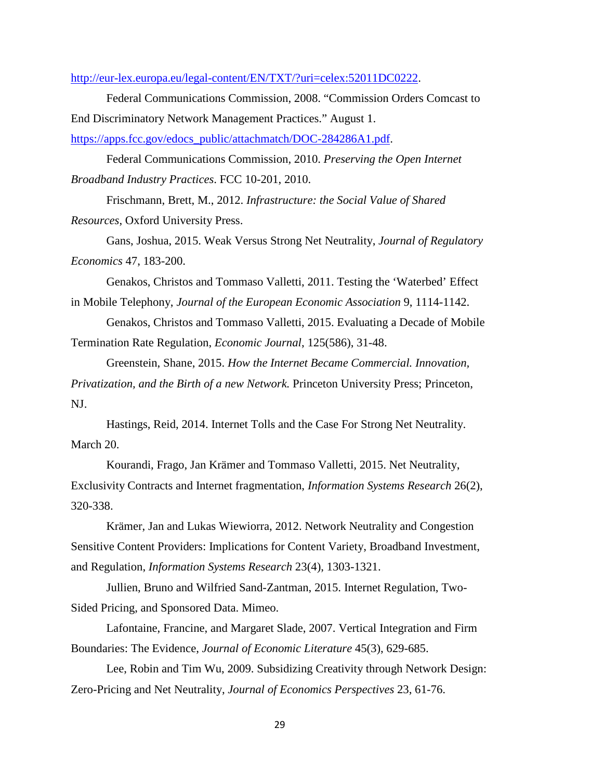[http://eur-lex.europa.eu/legal-content/EN/TXT/?uri=celex:52011DC0222.](http://eur-lex.europa.eu/legal-content/EN/TXT/?uri=celex:52011DC0222)

Federal Communications Commission, 2008. "Commission Orders Comcast to End Discriminatory Network Management Practices." August 1.

[https://apps.fcc.gov/edocs\\_public/attachmatch/DOC-284286A1.pdf.](https://apps.fcc.gov/edocs_public/attachmatch/DOC-284286A1.pdf)

Federal Communications Commission, 2010. *Preserving the Open Internet Broadband Industry Practices*. FCC 10-201, 2010.

Frischmann, Brett, M., 2012. *Infrastructure: the Social Value of Shared Resources*, Oxford University Press.

Gans, Joshua, 2015. Weak Versus Strong Net Neutrality, *Journal of Regulatory Economics* 47, 183-200.

Genakos, Christos and Tommaso Valletti, 2011. Testing the 'Waterbed' Effect in Mobile Telephony, *Journal of the European Economic Association* 9, 1114-1142.

Genakos, Christos and Tommaso Valletti, 2015. Evaluating a Decade of Mobile Termination Rate Regulation, *Economic Journal*, 125(586), 31-48.

Greenstein, Shane, 2015. *How the Internet Became Commercial. Innovation, Privatization, and the Birth of a new Network.* Princeton University Press; Princeton, NJ.

Hastings, Reid, 2014. Internet Tolls and the Case For Strong Net Neutrality. March 20.

Kourandi, Frago, Jan Krämer and Tommaso Valletti, 2015. Net Neutrality, Exclusivity Contracts and Internet fragmentation, *Information Systems Research* 26(2), 320-338.

Krämer, Jan and Lukas Wiewiorra, 2012. Network Neutrality and Congestion Sensitive Content Providers: Implications for Content Variety, Broadband Investment, and Regulation, *Information Systems Research* 23(4), 1303-1321.

Jullien, Bruno and Wilfried Sand-Zantman, 2015. Internet Regulation, Two-Sided Pricing, and Sponsored Data. Mimeo.

Lafontaine, Francine, and Margaret Slade, 2007. Vertical Integration and Firm Boundaries: The Evidence, *Journal of Economic Literature* 45(3), 629-685.

Lee, Robin and Tim Wu, 2009. Subsidizing Creativity through Network Design: Zero-Pricing and Net Neutrality, *Journal of Economics Perspectives* 23, 61-76.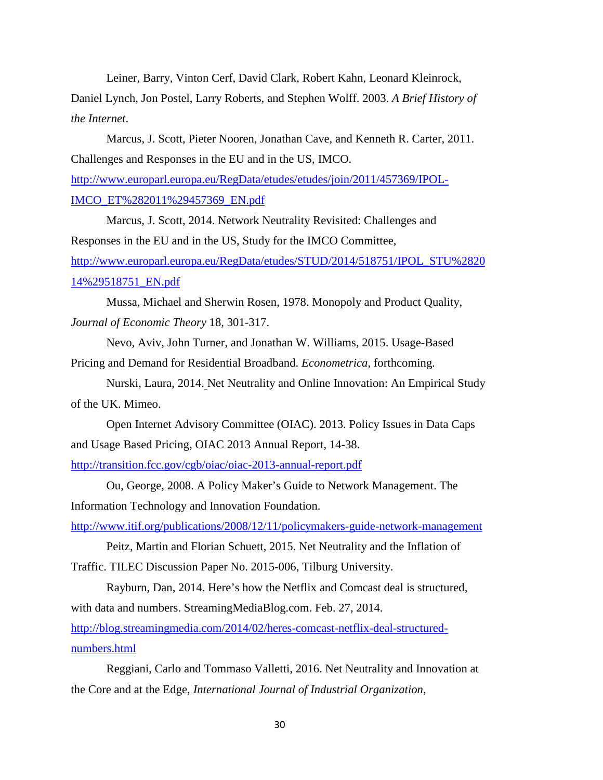Leiner, Barry, Vinton Cerf, David Clark, Robert Kahn, Leonard Kleinrock, Daniel Lynch, Jon Postel, Larry Roberts, and Stephen Wolff. 2003. *A Brief History of the Internet*.

Marcus, J. Scott, Pieter Nooren, Jonathan Cave, and Kenneth R. Carter, 2011. Challenges and Responses in the EU and in the US, IMCO. [http://www.europarl.europa.eu/RegData/etudes/etudes/join/2011/457369/IPOL-](http://www.europarl.europa.eu/RegData/etudes/etudes/join/2011/457369/IPOL-IMCO_ET%282011%29457369_EN.pdf)[IMCO\\_ET%282011%29457369\\_EN.pdf](http://www.europarl.europa.eu/RegData/etudes/etudes/join/2011/457369/IPOL-IMCO_ET%282011%29457369_EN.pdf)

Marcus, J. Scott, 2014. Network Neutrality Revisited: Challenges and Responses in the EU and in the US, Study for the IMCO Committee, [http://www.europarl.europa.eu/RegData/etudes/STUD/2014/518751/IPOL\\_STU%2820](http://www.europarl.europa.eu/RegData/etudes/STUD/2014/518751/IPOL_STU%282014%29518751_EN.pdf) [14%29518751\\_EN.pdf](http://www.europarl.europa.eu/RegData/etudes/STUD/2014/518751/IPOL_STU%282014%29518751_EN.pdf)

Mussa, Michael and Sherwin Rosen, 1978. Monopoly and Product Quality, *Journal of Economic Theory* 18*,* 301-317.

Nevo, Aviv, John Turner, and Jonathan W. Williams, 2015. Usage-Based Pricing and Demand for Residential Broadband. *Econometrica*, forthcoming.

Nurski, Laura, 2014. Net Neutrality and Online Innovation: An Empirical Study of the UK. Mimeo.

Open Internet Advisory Committee (OIAC). 2013. Policy Issues in Data Caps and Usage Based Pricing, OIAC 2013 Annual Report, 14-38.

<http://transition.fcc.gov/cgb/oiac/oiac-2013-annual-report.pdf>

Ou, George, 2008. A Policy Maker's Guide to Network Management. The Information Technology and Innovation Foundation.

<http://www.itif.org/publications/2008/12/11/policymakers-guide-network-management>

Peitz, Martin and Florian Schuett, 2015. Net Neutrality and the Inflation of Traffic. TILEC Discussion Paper No. 2015-006, Tilburg University.

Rayburn, Dan, 2014. Here's how the Netflix and Comcast deal is structured, with data and numbers. StreamingMediaBlog.com. Feb. 27, 2014.

[http://blog.streamingmedia.com/2014/02/heres-comcast-netflix-deal-structured](http://blog.streamingmedia.com/2014/02/heres-comcast-netflix-deal-structured-numbers.html)[numbers.html](http://blog.streamingmedia.com/2014/02/heres-comcast-netflix-deal-structured-numbers.html)

Reggiani, Carlo and Tommaso Valletti, 2016. Net Neutrality and Innovation at the Core and at the Edge, *International Journal of Industrial Organization*,